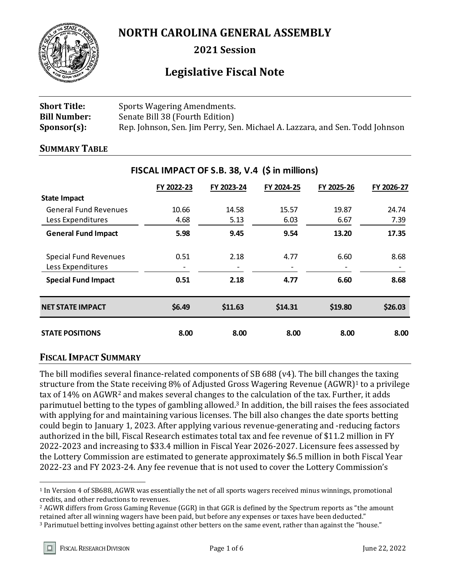

**NORTH CAROLINA GENERAL ASSEMBLY**

**2021 Session**

# **Legislative Fiscal Note**

| <b>Short Title:</b> | Sports Wagering Amendments.                                                  |
|---------------------|------------------------------------------------------------------------------|
| <b>Bill Number:</b> | Senate Bill 38 (Fourth Edition)                                              |
| $Sponsor(s)$ :      | Rep. Johnson, Sen. Jim Perry, Sen. Michael A. Lazzara, and Sen. Todd Johnson |

#### **SUMMARY TABLE**

|                                                   | FY 2022-23 | FY 2023-24 | FY 2024-25 | FY 2025-26 | FY 2026-27 |
|---------------------------------------------------|------------|------------|------------|------------|------------|
| <b>State Impact</b>                               |            |            |            |            |            |
| <b>General Fund Revenues</b>                      | 10.66      | 14.58      | 15.57      | 19.87      | 24.74      |
| Less Expenditures                                 | 4.68       | 5.13       | 6.03       | 6.67       | 7.39       |
| <b>General Fund Impact</b>                        | 5.98       | 9.45       | 9.54       | 13.20      | 17.35      |
| <b>Special Fund Revenues</b><br>Less Expenditures | 0.51       | 2.18       | 4.77       | 6.60       | 8.68       |
| <b>Special Fund Impact</b>                        | 0.51       | 2.18       | 4.77       | 6.60       | 8.68       |
| <b>NET STATE IMPACT</b>                           | \$6.49     | \$11.63    | \$14.31    | \$19.80    | \$26.03    |
| <b>STATE POSITIONS</b>                            | 8.00       | 8.00       | 8.00       | 8.00       | 8.00       |

# **FISCAL IMPACT OF S.B. 38, V.4 (\$ in millions)**

## **FISCAL IMPACT SUMMARY**

The bill modifies several finance-related components of SB 688 (v4). The bill changes the taxing structure from the State receiving 8% of Adjusted Gross Wagering Revenue (AGWR)<sup>1</sup> to a privilege tax of 14% on AGWR<sup>2</sup> and makes several changes to the calculation of the tax. Further, it adds parimutuel betting to the types of gambling allowed.<sup>3</sup> In addition, the bill raises the fees associated with applying for and maintaining various licenses. The bill also changes the date sports betting could begin to January 1, 2023. After applying various revenue-generating and -reducing factors authorized in the bill, Fiscal Research estimates total tax and fee revenue of \$11.2 million in FY 2022-2023 and increasing to \$33.4 million in Fiscal Year 2026-2027. Licensure fees assessed by the Lottery Commission are estimated to generate approximately \$6.5 million in both Fiscal Year 2022-23 and FY 2023-24. Any fee revenue that is not used to cover the Lottery Commission's

 $\overline{a}$ 

<sup>1</sup> In Version 4 of SB688, AGWR was essentially the net of all sports wagers received minus winnings, promotional credits, and other reductions to revenues.

<sup>2</sup> AGWR differs from Gross Gaming Revenue (GGR) in that GGR is defined by the Spectrum reports as "the amount retained after all winning wagers have been paid, but before any expenses or taxes have been deducted."

<sup>3</sup> Parimutuel betting involves betting against other betters on the same event, rather than against the "house."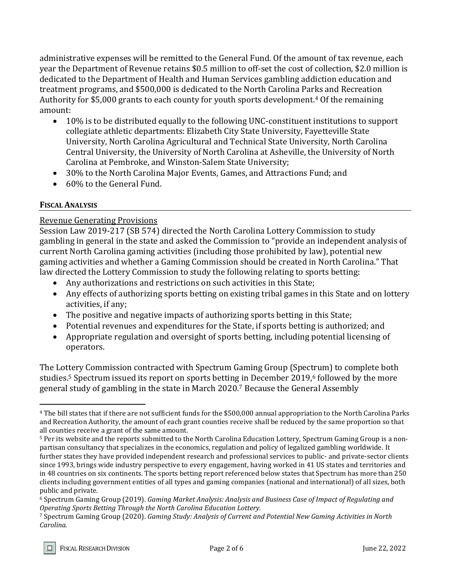administrative expenses will be remitted to the General Fund. Of the amount of tax revenue, each year the Department of Revenue retains \$0.5 million to off-set the cost of collection, \$2.0 million is dedicated to the Department of Health and Human Services gambling addiction education and treatment programs, and \$500,000 is dedicated to the North Carolina Parks and Recreation Authority for \$5,000 grants to each county for youth sports development.<sup>4</sup> Of the remaining amount:

- 10% is to be distributed equally to the following UNC-constituent institutions to support collegiate athletic departments: Elizabeth City State University, Fayetteville State University, North Carolina Agricultural and Technical State University, North Carolina Central University, the University of North Carolina at Asheville, the University of North Carolina at Pembroke, and Winston-Salem State University;
- 30% to the North Carolina Major Events, Games, and Attractions Fund; and
- 60% to the General Fund.

## **FISCAL ANALYSIS**

 $\overline{a}$ 

## Revenue Generating Provisions

Session Law 2019-217 (SB 574) directed the North Carolina Lottery Commission to study gambling in general in the state and asked the Commission to "provide an independent analysis of current North Carolina gaming activities (including those prohibited by law), potential new gaming activities and whether a Gaming Commission should be created in North Carolina." That law directed the Lottery Commission to study the following relating to sports betting:

- Any authorizations and restrictions on such activities in this State;
- Any effects of authorizing sports betting on existing tribal games in this State and on lottery activities, if any;
- The positive and negative impacts of authorizing sports betting in this State;
- Potential revenues and expenditures for the State, if sports betting is authorized; and
- Appropriate regulation and oversight of sports betting, including potential licensing of operators.

The Lottery Commission contracted with Spectrum Gaming Group (Spectrum) to complete both studies.<sup>5</sup> Spectrum issued its report on sports betting in December 2019,<sup>6</sup> followed by the more general study of gambling in the state in March 2020.<sup>7</sup> Because the General Assembly

<sup>4</sup> The bill states that if there are not sufficient funds for the \$500,000 annual appropriation to the North Carolina Parks and Recreation Authority, the amount of each grant counties receive shall be reduced by the same proportion so that all counties receive a grant of the same amount.

<sup>5</sup> Per its website and the reports submitted to the North Carolina Education Lottery, Spectrum Gaming Group is a nonpartisan consultancy that specializes in the economics, regulation and policy of legalized gambling worldwide. It further states they have provided independent research and professional services to public- and private-sector clients since 1993, brings wide industry perspective to every engagement, having worked in 41 US states and territories and in 48 countries on six continents. The sports betting report referenced below states that Spectrum has more than 250 clients including government entities of all types and gaming companies (national and international) of all sizes, both public and private.

<sup>6</sup> Spectrum Gaming Group (2019). *Gaming Market Analysis: Analysis and Business Case of Impact of Regulating and Operating Sports Betting Through the North Carolina Education Lottery.*

<sup>7</sup> Spectrum Gaming Group (2020). *Gaming Study: Analysis of Current and Potential New Gaming Activities in North Carolina.*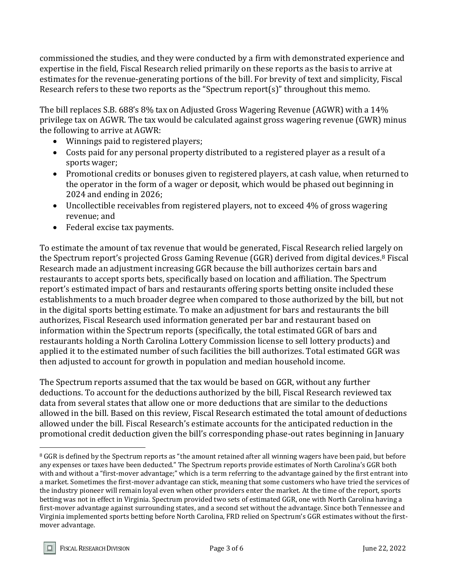commissioned the studies, and they were conducted by a firm with demonstrated experience and expertise in the field, Fiscal Research relied primarily on these reports as the basis to arrive at estimates for the revenue-generating portions of the bill. For brevity of text and simplicity, Fiscal Research refers to these two reports as the "Spectrum report(s)" throughout this memo.

The bill replaces S.B. 688's 8% tax on Adjusted Gross Wagering Revenue (AGWR) with a 14% privilege tax on AGWR. The tax would be calculated against gross wagering revenue (GWR) minus the following to arrive at AGWR:

- Winnings paid to registered players;
- Costs paid for any personal property distributed to a registered player as a result of a sports wager;
- Promotional credits or bonuses given to registered players, at cash value, when returned to the operator in the form of a wager or deposit, which would be phased out beginning in 2024 and ending in 2026;
- Uncollectible receivables from registered players, not to exceed 4% of gross wagering revenue; and
- Federal excise tax payments.

To estimate the amount of tax revenue that would be generated, Fiscal Research relied largely on the Spectrum report's projected Gross Gaming Revenue (GGR) derived from digital devices.<sup>8</sup> Fiscal Research made an adjustment increasing GGR because the bill authorizes certain bars and restaurants to accept sports bets, specifically based on location and affiliation. The Spectrum report's estimated impact of bars and restaurants offering sports betting onsite included these establishments to a much broader degree when compared to those authorized by the bill, but not in the digital sports betting estimate. To make an adjustment for bars and restaurants the bill authorizes, Fiscal Research used information generated per bar and restaurant based on information within the Spectrum reports (specifically, the total estimated GGR of bars and restaurants holding a North Carolina Lottery Commission license to sell lottery products) and applied it to the estimated number of such facilities the bill authorizes. Total estimated GGR was then adjusted to account for growth in population and median household income.

The Spectrum reports assumed that the tax would be based on GGR, without any further deductions. To account for the deductions authorized by the bill, Fiscal Research reviewed tax data from several states that allow one or more deductions that are similar to the deductions allowed in the bill. Based on this review, Fiscal Research estimated the total amount of deductions allowed under the bill. Fiscal Research's estimate accounts for the anticipated reduction in the promotional credit deduction given the bill's corresponding phase-out rates beginning in January

 $\overline{a}$ 

<sup>&</sup>lt;sup>8</sup> GGR is defined by the Spectrum reports as "the amount retained after all winning wagers have been paid, but before any expenses or taxes have been deducted." The Spectrum reports provide estimates of North Carolina's GGR both with and without a "first-mover advantage;" which is a term referring to the advantage gained by the first entrant into a market. Sometimes the first-mover advantage can stick, meaning that some customers who have tried the services of the industry pioneer will remain loyal even when other providers enter the market. At the time of the report, sports betting was not in effect in Virginia. Spectrum provided two sets of estimated GGR, one with North Carolina having a first-mover advantage against surrounding states, and a second set without the advantage. Since both Tennessee and Virginia implemented sports betting before North Carolina, FRD relied on Spectrum's GGR estimates without the firstmover advantage.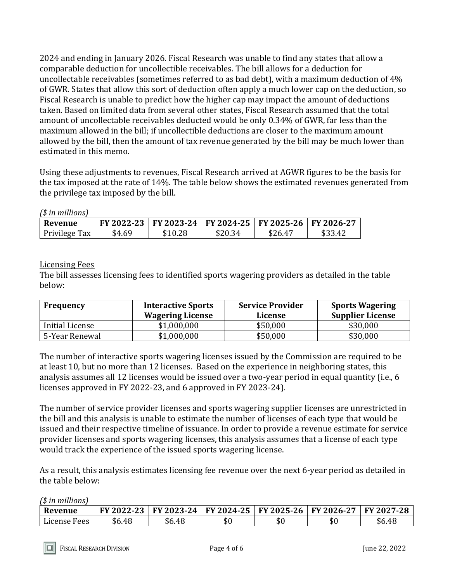2024 and ending in January 2026. Fiscal Research was unable to find any states that allow a comparable deduction for uncollectible receivables. The bill allows for a deduction for uncollectable receivables (sometimes referred to as bad debt), with a maximum deduction of 4% of GWR. States that allow this sort of deduction often apply a much lower cap on the deduction, so Fiscal Research is unable to predict how the higher cap may impact the amount of deductions taken. Based on limited data from several other states, Fiscal Research assumed that the total amount of uncollectable receivables deducted would be only 0.34% of GWR, far less than the maximum allowed in the bill; if uncollectible deductions are closer to the maximum amount allowed by the bill, then the amount of tax revenue generated by the bill may be much lower than estimated in this memo.

Using these adjustments to revenues, Fiscal Research arrived at AGWR figures to be the basis for the tax imposed at the rate of 14%. The table below shows the estimated revenues generated from the privilege tax imposed by the bill.

| (\$ in millions) |        |                                                        |         |         |         |
|------------------|--------|--------------------------------------------------------|---------|---------|---------|
| Revenue          |        | FY 2022-23 FY 2023-24 FY 2024-25 FY 2025-26 FY 2026-27 |         |         |         |
| Privilege Tax    | \$4.69 | \$10.28                                                | \$20.34 | \$26.47 | \$33.42 |

Licensing Fees

The bill assesses licensing fees to identified sports wagering providers as detailed in the table below:

| Frequency       | <b>Interactive Sports</b><br><b>Wagering License</b> | <b>Service Provider</b><br>License | <b>Sports Wagering</b><br><b>Supplier License</b> |
|-----------------|------------------------------------------------------|------------------------------------|---------------------------------------------------|
| Initial License | \$1,000,000                                          | \$50,000                           | \$30,000                                          |
| 5-Year Renewal  | \$1,000,000                                          | \$50,000                           | \$30,000                                          |

The number of interactive sports wagering licenses issued by the Commission are required to be at least 10, but no more than 12 licenses. Based on the experience in neighboring states, this analysis assumes all 12 licenses would be issued over a two-year period in equal quantity (i.e., 6 licenses approved in FY 2022-23, and 6 approved in FY 2023-24).

The number of service provider licenses and sports wagering supplier licenses are unrestricted in the bill and this analysis is unable to estimate the number of licenses of each type that would be issued and their respective timeline of issuance. In order to provide a revenue estimate for service provider licenses and sports wagering licenses, this analysis assumes that a license of each type would track the experience of the issued sports wagering license.

As a result, this analysis estimates licensing fee revenue over the next 6-year period as detailed in the table below:

*(\$ in millions)*

IП

| Revenue      | FY 2022-23 | FY 2023-24 | FY 2024-25   FY 2025-26 |     | FY 2026-27 | $FY 2027 - 28$ |
|--------------|------------|------------|-------------------------|-----|------------|----------------|
| License Fees | \$6.48     | \$6.48     | \$0                     | \$0 | υc         | \$6.48         |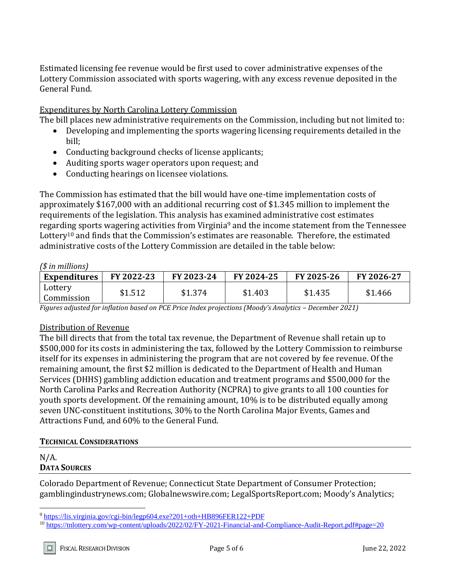Estimated licensing fee revenue would be first used to cover administrative expenses of the Lottery Commission associated with sports wagering, with any excess revenue deposited in the General Fund.

#### Expenditures by North Carolina Lottery Commission

The bill places new administrative requirements on the Commission, including but not limited to:

- Developing and implementing the sports wagering licensing requirements detailed in the bill;
- Conducting background checks of license applicants;
- Auditing sports wager operators upon request; and
- Conducting hearings on licensee violations.

The Commission has estimated that the bill would have one-time implementation costs of approximately \$167,000 with an additional recurring cost of \$1.345 million to implement the requirements of the legislation. This analysis has examined administrative cost estimates regarding sports wagering activities from Virginia<sup>9</sup> and the income statement from the Tennessee Lottery<sup>10</sup> and finds that the Commission's estimates are reasonable. Therefore, the estimated administrative costs of the Lottery Commission are detailed in the table below:

#### *(\$ in millions)*

| <b>Expenditures</b>   | FY 2022-23 | FY 2023-24 | FY 2024-25 | FY 2025-26 | FY 2026-27 |
|-----------------------|------------|------------|------------|------------|------------|
| Lottery<br>Commission | \$1.512    | \$1.374    | \$1.403    | \$1.435    | \$1.466    |

*Figures adjusted for inflation based on PCE Price Index projections (Moody's Analytics – December 2021)*

#### Distribution of Revenue

The bill directs that from the total tax revenue, the Department of Revenue shall retain up to \$500,000 for its costs in administering the tax, followed by the Lottery Commission to reimburse itself for its expenses in administering the program that are not covered by fee revenue. Of the remaining amount, the first \$2 million is dedicated to the Department of Health and Human Services (DHHS) gambling addiction education and treatment programs and \$500,000 for the North Carolina Parks and Recreation Authority (NCPRA) to give grants to all 100 counties for youth sports development. Of the remaining amount, 10% is to be distributed equally among seven UNC-constituent institutions, 30% to the North Carolina Major Events, Games and Attractions Fund, and 60% to the General Fund.

#### **TECHNICAL CONSIDERATIONS**

#### N/A. **DATA SOURCES**

 $\overline{a}$ 

Colorado Department of Revenue; Connecticut State Department of Consumer Protection; gamblingindustrynews.com; Globalnewswire.com; LegalSportsReport.com; Moody's Analytics;

<sup>9</sup> <https://lis.virginia.gov/cgi-bin/legp604.exe?201+oth+HB896FER122+PDF>

<sup>10</sup> <https://tnlottery.com/wp-content/uploads/2022/02/FY-2021-Financial-and-Compliance-Audit-Report.pdf#page=20>